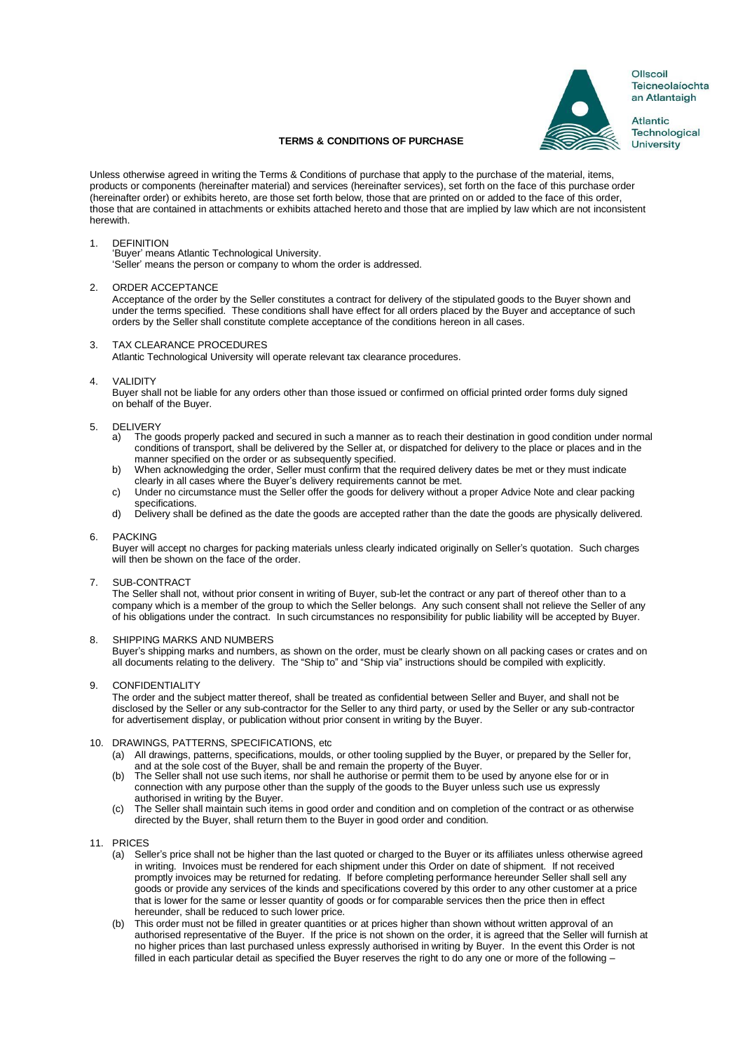

Ollscoil Teicneolaíochta an Atlantaigh

**Atlantic** Technological **University** 

# **TERMS & CONDITIONS OF PURCHASE**

Unless otherwise agreed in writing the Terms & Conditions of purchase that apply to the purchase of the material, items, products or components (hereinafter material) and services (hereinafter services), set forth on the face of this purchase order (hereinafter order) or exhibits hereto, are those set forth below, those that are printed on or added to the face of this order, those that are contained in attachments or exhibits attached hereto and those that are implied by law which are not inconsistent herewith.

# 1. DEFINITION

'Buyer' means Atlantic Technological University. 'Seller' means the person or company to whom the order is addressed.

## 2. ORDER ACCEPTANCE

Acceptance of the order by the Seller constitutes a contract for delivery of the stipulated goods to the Buyer shown and under the terms specified. These conditions shall have effect for all orders placed by the Buyer and acceptance of such orders by the Seller shall constitute complete acceptance of the conditions hereon in all cases.

## 3. TAX CLEARANCE PROCEDURES

Atlantic Technological University will operate relevant tax clearance procedures.

## 4. VALIDITY

Buyer shall not be liable for any orders other than those issued or confirmed on official printed order forms duly signed on behalf of the Buyer.

# 5. DELIVERY<br>a) The go

- The goods properly packed and secured in such a manner as to reach their destination in good condition under normal conditions of transport, shall be delivered by the Seller at, or dispatched for delivery to the place or places and in the manner specified on the order or as subsequently specified.
- b) When acknowledging the order, Seller must confirm that the required delivery dates be met or they must indicate clearly in all cases where the Buyer's delivery requirements cannot be met.
- c) Under no circumstance must the Seller offer the goods for delivery without a proper Advice Note and clear packing specifications.
- d) Delivery shall be defined as the date the goods are accepted rather than the date the goods are physically delivered.

# 6. PACKING

Buyer will accept no charges for packing materials unless clearly indicated originally on Seller's quotation. Such charges will then be shown on the face of the order.

7. SUB-CONTRACT

The Seller shall not, without prior consent in writing of Buyer, sub-let the contract or any part of thereof other than to a company which is a member of the group to which the Seller belongs. Any such consent shall not relieve the Seller of any of his obligations under the contract. In such circumstances no responsibility for public liability will be accepted by Buyer.

# 8. SHIPPING MARKS AND NUMBERS

Buyer's shipping marks and numbers, as shown on the order, must be clearly shown on all packing cases or crates and on all documents relating to the delivery. The "Ship to" and "Ship via" instructions should be compiled with explicitly.

## 9. CONFIDENTIALITY

The order and the subject matter thereof, shall be treated as confidential between Seller and Buyer, and shall not be disclosed by the Seller or any sub-contractor for the Seller to any third party, or used by the Seller or any sub-contractor for advertisement display, or publication without prior consent in writing by the Buyer.

# 10. DRAWINGS, PATTERNS, SPECIFICATIONS, etc

- (a) All drawings, patterns, specifications, moulds, or other tooling supplied by the Buyer, or prepared by the Seller for, and at the sole cost of the Buyer, shall be and remain the property of the Buyer.
- (b) The Seller shall not use such items, nor shall he authorise or permit them to be used by anyone else for or in connection with any purpose other than the supply of the goods to the Buyer unless such use us expressly authorised in writing by the Buyer.
- (c) The Seller shall maintain such items in good order and condition and on completion of the contract or as otherwise directed by the Buyer, shall return them to the Buyer in good order and condition.

## 11. PRICES

- (a) Seller's price shall not be higher than the last quoted or charged to the Buyer or its affiliates unless otherwise agreed in writing. Invoices must be rendered for each shipment under this Order on date of shipment. If not received promptly invoices may be returned for redating. If before completing performance hereunder Seller shall sell any goods or provide any services of the kinds and specifications covered by this order to any other customer at a price that is lower for the same or lesser quantity of goods or for comparable services then the price then in effect hereunder, shall be reduced to such lower price.
- (b) This order must not be filled in greater quantities or at prices higher than shown without written approval of an authorised representative of the Buyer. If the price is not shown on the order, it is agreed that the Seller will furnish at no higher prices than last purchased unless expressly authorised in writing by Buyer. In the event this Order is not filled in each particular detail as specified the Buyer reserves the right to do any one or more of the following -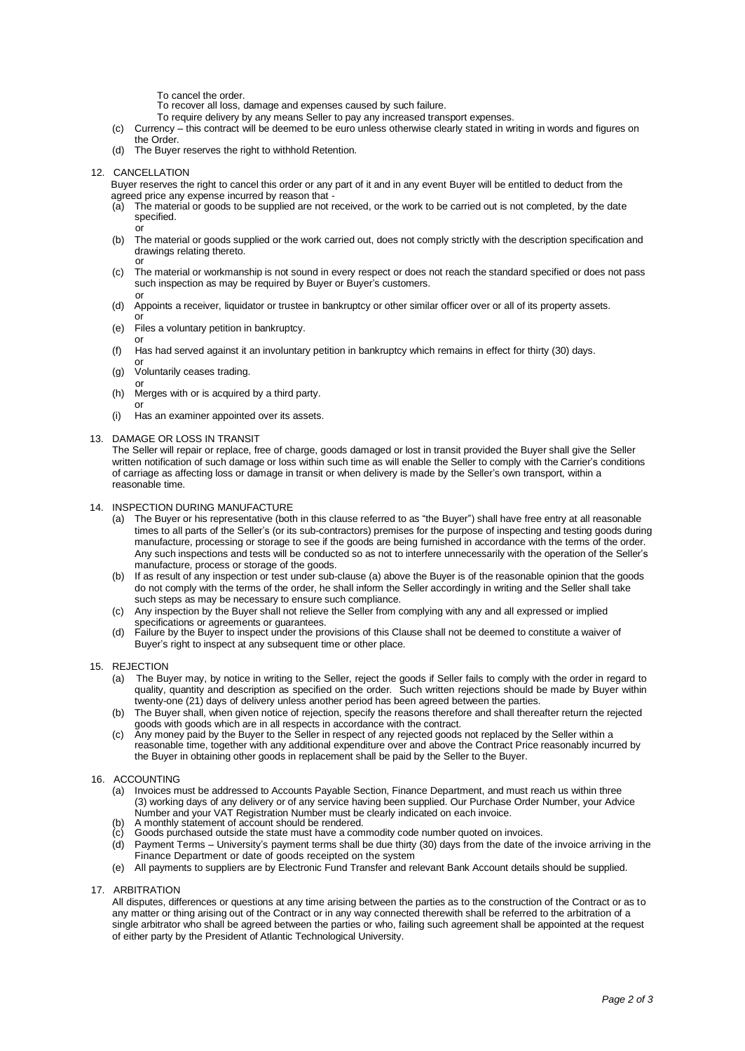To cancel the order.

To recover all loss, damage and expenses caused by such failure.

- To require delivery by any means Seller to pay any increased transport expenses.
- (c) Currency this contract will be deemed to be euro unless otherwise clearly stated in writing in words and figures on the Order.
- (d) The Buyer reserves the right to withhold Retention.

#### 12. CANCELLATION

Buyer reserves the right to cancel this order or any part of it and in any event Buyer will be entitled to deduct from the agreed price any expense incurred by reason that

- The material or goods to be supplied are not received, or the work to be carried out is not completed, by the date specified. or
- (b) The material or goods supplied or the work carried out, does not comply strictly with the description specification and drawings relating thereto.
- or (c) The material or workmanship is not sound in every respect or does not reach the standard specified or does not pass such inspection as may be required by Buyer or Buyer's customers.
- or (d) Appoints a receiver, liquidator or trustee in bankruptcy or other similar officer over or all of its property assets.
- or (e) Files a voluntary petition in bankruptcy.
- or (f) Has had served against it an involuntary petition in bankruptcy which remains in effect for thirty (30) days.
- or (g) Voluntarily ceases trading.
- or (h) Merges with or is acquired by a third party.
- or (i) Has an examiner appointed over its assets.

#### 13. DAMAGE OR LOSS IN TRANSIT

The Seller will repair or replace, free of charge, goods damaged or lost in transit provided the Buyer shall give the Seller written notification of such damage or loss within such time as will enable the Seller to comply with the Carrier's conditions of carriage as affecting loss or damage in transit or when delivery is made by the Seller's own transport, within a reasonable time.

#### 14. INSPECTION DURING MANUFACTURE

- (a) The Buyer or his representative (both in this clause referred to as "the Buyer") shall have free entry at all reasonable times to all parts of the Seller's (or its sub-contractors) premises for the purpose of inspecting and testing goods during manufacture, processing or storage to see if the goods are being furnished in accordance with the terms of the order. Any such inspections and tests will be conducted so as not to interfere unnecessarily with the operation of the Seller's manufacture, process or storage of the goods.
- (b) If as result of any inspection or test under sub-clause (a) above the Buyer is of the reasonable opinion that the goods do not comply with the terms of the order, he shall inform the Seller accordingly in writing and the Seller shall take such steps as may be necessary to ensure such compliance.
- (c) Any inspection by the Buyer shall not relieve the Seller from complying with any and all expressed or implied specifications or agreements or guarantees.
- (d) Failure by the Buyer to inspect under the provisions of this Clause shall not be deemed to constitute a waiver of Buyer's right to inspect at any subsequent time or other place.
- 15. REJECTION
	- (a) The Buyer may, by notice in writing to the Seller, reject the goods if Seller fails to comply with the order in regard to quality, quantity and description as specified on the order. Such written rejections should be made by Buyer within twenty-one (21) days of delivery unless another period has been agreed between the parties.
	- (b) The Buyer shall, when given notice of rejection, specify the reasons therefore and shall thereafter return the rejected goods with goods which are in all respects in accordance with the contract.
	- (c) Any money paid by the Buyer to the Seller in respect of any rejected goods not replaced by the Seller within a reasonable time, together with any additional expenditure over and above the Contract Price reasonably incurred by the Buyer in obtaining other goods in replacement shall be paid by the Seller to the Buyer.

#### 16. ACCOUNTING

- (a) Invoices must be addressed to Accounts Payable Section, Finance Department, and must reach us within three (3) working days of any delivery or of any service having been supplied. Our Purchase Order Number, your Advice Number and your VAT Registration Number must be clearly indicated on each invoice.
- A monthly statement of account should be rendered.
- Goods purchased outside the state must have a commodity code number quoted on invoices.
- (d) Payment Terms University's payment terms shall be due thirty (30) days from the date of the invoice arriving in the Finance Department or date of goods receipted on the system
- (e) All payments to suppliers are by Electronic Fund Transfer and relevant Bank Account details should be supplied.

## 17. ARBITRATION

All disputes, differences or questions at any time arising between the parties as to the construction of the Contract or as to any matter or thing arising out of the Contract or in any way connected therewith shall be referred to the arbitration of a single arbitrator who shall be agreed between the parties or who, failing such agreement shall be appointed at the request of either party by the President of Atlantic Technological University.